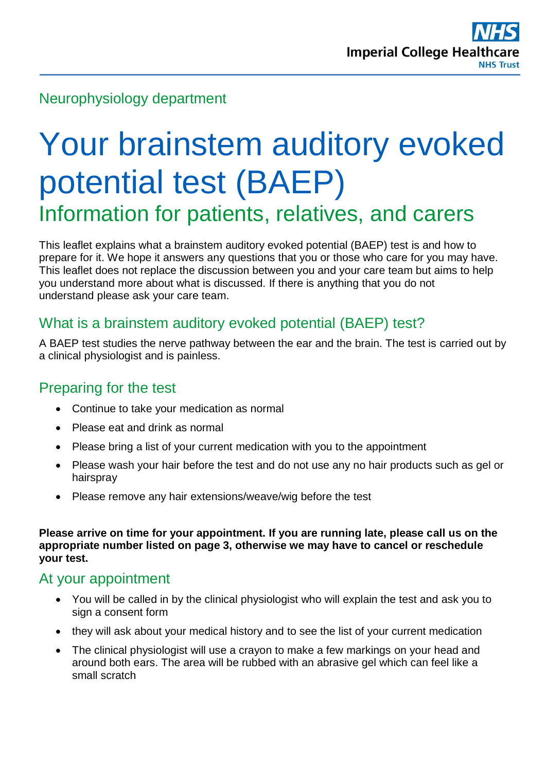# Neurophysiology department

# Your brainstem auditory evoked potential test (BAEP) Information for patients, relatives, and carers

This leaflet explains what a brainstem auditory evoked potential (BAEP) test is and how to prepare for it. We hope it answers any questions that you or those who care for you may have. This leaflet does not replace the discussion between you and your care team but aims to help you understand more about what is discussed. If there is anything that you do not understand please ask your care team.

# What is a brainstem auditory evoked potential (BAEP) test?

A BAEP test studies the nerve pathway between the ear and the brain. The test is carried out by a clinical physiologist and is painless.

## Preparing for the test

- Continue to take your medication as normal
- Please eat and drink as normal
- Please bring a list of your current medication with you to the appointment
- Please wash your hair before the test and do not use any no hair products such as gel or hairspray
- Please remove any hair extensions/weave/wig before the test

**Please arrive on time for your appointment. If you are running late, please call us on the appropriate number listed on page 3, otherwise we may have to cancel or reschedule your test.** 

#### At your appointment

- You will be called in by the clinical physiologist who will explain the test and ask you to sign a consent form
- they will ask about your medical history and to see the list of your current medication
- The clinical physiologist will use a crayon to make a few markings on your head and around both ears. The area will be rubbed with an abrasive gel which can feel like a small scratch